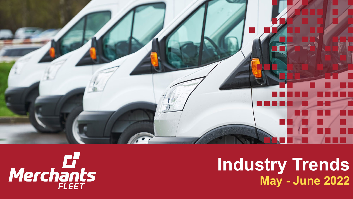

# Merchants

## **Industry Trends May - June 2022**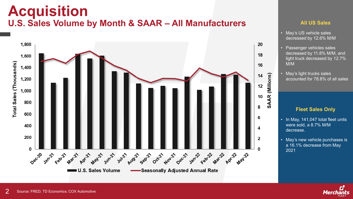## **Acquisition U.S. Sales Volume by Month & SAAR – All Manufacturers All US Sales**



- May's US vehicle sales decreased by 12.6% M/M
- Passenger vehicles sales decreased by 11.8% M/M, and light truck decreased by 12.7% M/M
- May's light trucks sales accounted for 78.8% of all sales

#### **Fleet Sales Only**

- In May, 141,047 total fleet units were sold, a 8.7% M/M decrease.
- May's new vehicle purchases is a 16.1% decrease from May 2021

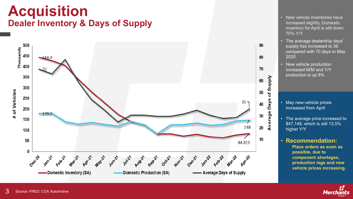## **Acquisition Dealer Inventory & Days of Supply**



- New vehicle inventories have increased slightly, Domestic inventory for April is still down 70% Y/Y.
- The average dealership days' supply has increased to 36 compared with 70 days in May 2020.
- New vehicle production increased M/M and Y/Y production is up 8%

- May new-vehicle prices increased from April
- The average price increased to \$47,148, which is still 13.5% higher Y/Y

### • **Recommendation:**

**Place orders as soon as possible, due to component shortages, production lags and new vehicle prices increasing.**

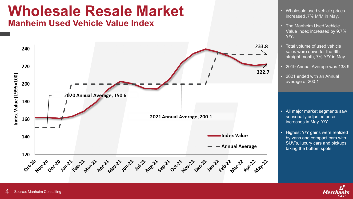## **Wholesale Resale Market**

**Manheim Used Vehicle Value Index**



- Wholesale used vehicle prices increased .7% M/M in May.
- The Manheim Used Vehicle Value Index increased by 9.7% Y/Y.
- Total volume of used vehicle sales were down for the 6th straight month, 7% Y/Y in May
- 2019 Annual Average was 138.9
- 2021 ended with an Annual average of 200.1

- All major market segments saw seasonally adjusted price increases in May, Y/Y.
- Highest Y/Y gains were realized by vans and compact cars with SUV's, luxury cars and pickups taking the bottom spots.

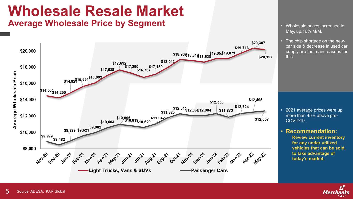## **Wholesale Resale Market**

**Average Wholesale Price by Segment Figure 1 Average Wholesale prices increased in** 



- May, up.16% M/M.
- The chip shortage on the newcar side & decrease in used car supply are the main reasons for this.

- 2021 average prices were up more than 45% above pre-COVID19.
- **Recommendation:**

**Review current inventory for any under utilized vehicles that can be sold, to take advantage of today's market.**

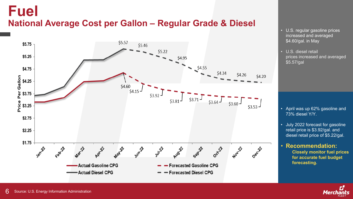## **Fuel National Average Cost per Gallon – Regular Grade & Diesel**



- U.S. regular gasoline prices increased and averaged \$4.60/gal. in May
- U.S. diesel retail prices increased and averaged \$5.57/gal

- April was up 62% gasoline and 73% diesel Y/Y.
- July 2022 forecast for gasoline retail price is \$3.92/gal. and diesel retail price of \$5.22/gal.
- **Recommendation: Closely monitor fuel prices for accurate fuel budget forecasting.**

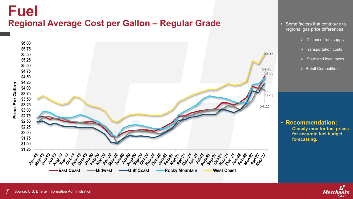## **Fuel Regional Average Cost per Gallon – Regular Grade**



- Some factors that contribute to regional gas price differences:
	- $\triangleright$  Distance from supply
	- $\triangleright$  Transportation costs
	- $\triangleright$  State and local taxes
	- $\triangleright$  Retail Competition

• **Recommendation: Closely monitor fuel prices for accurate fuel budget forecasting.**